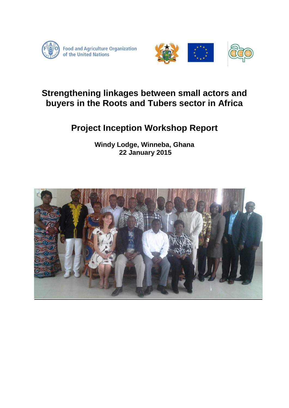



# **Strengthening linkages between small actors and buyers in the Roots and Tubers sector in Africa**

# **Project Inception Workshop Report**

**Windy Lodge, Winneba, Ghana 22 January 2015**

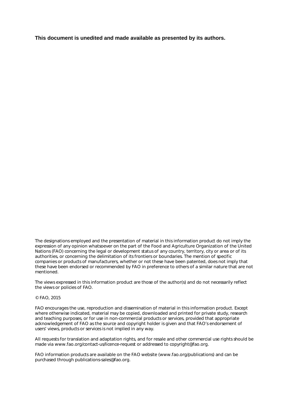**This document is unedited and made available as presented by its authors.**

The designations employed and the presentation of material in this information product do not imply the expression of any opinion whatsoever on the part of the Food and Agriculture Organization of the United Nations (FAO) concerning the legal or development status of any country, territory, city or area or of its authorities, or concerning the delimitation of its frontiers or boundaries. The mention of specific companies or products of manufacturers, whether or not these have been patented, does not imply that these have been endorsed or recommended by FAO in preference to others of a similar nature that are not mentioned.

The views expressed in this information product are those of the author(s) and do not necessarily reflect the views or policies of FAO.

#### © FAO, 2015

FAO encourages the use, reproduction and dissemination of material in this information product. Except where otherwise indicated, material may be copied, downloaded and printed for private study, research and teaching purposes, or for use in non-commercial products or services, provided that appropriate acknowledgement of FAO as the source and copyright holder is given and that FAO's endorsement of users' views, products or services is not implied in any way.

All requests for translation and adaptation rights, and for resale and other commercial use rights should be made via www.fao.org/contact-us/licence-request or addressed to copyright@fao.org.

FAO information products are available on the FAO website (www.fao.org/publications) and can be purchased through publications-sales@fao.org.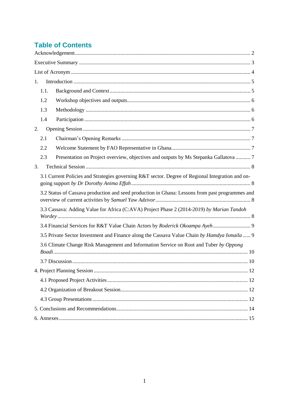# **Table of Contents**

<span id="page-2-0"></span>

| 1.   |                                                                                                  |
|------|--------------------------------------------------------------------------------------------------|
| 1.1. |                                                                                                  |
| 1.2  |                                                                                                  |
| 1.3  |                                                                                                  |
| 1.4  |                                                                                                  |
| 2.   |                                                                                                  |
| 2.1  |                                                                                                  |
| 2.2  |                                                                                                  |
| 2.3  | Presentation on Project overview, objectives and outputs by Ms Stepanka Gallatova  7             |
| 3.   |                                                                                                  |
|      | 3.1 Current Policies and Strategies governing R&T sector. Degree of Regional Integration and on- |
|      | 3.2 Status of Cassava production and seed production in Ghana: Lessons from past programmes and  |
|      | 3.3 Cassava: Adding Value for Africa (C:AVA) Project Phase 2 (2014-2019) by Marian Tandoh        |
|      |                                                                                                  |
|      | 3.5 Private Sector Investment and Finance along the Cassava Value Chain by Hamdya Ismaila 9      |
|      | 3.6 Climate Change Risk Management and Information Service on Root and Tuber by Oppong           |
|      |                                                                                                  |
|      |                                                                                                  |
|      |                                                                                                  |
|      |                                                                                                  |
|      |                                                                                                  |
|      |                                                                                                  |
|      |                                                                                                  |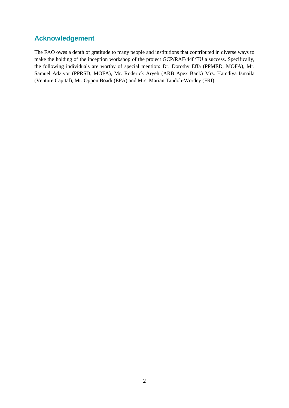# **Acknowledgement**

The FAO owes a depth of gratitude to many people and institutions that contributed in diverse ways to make the holding of the inception workshop of the project GCP/RAF/448/EU a success. Specifically, the following individuals are worthy of special mention: Dr. Dorothy Effa (PPMED, MOFA), Mr. Samuel Adzivor (PPRSD, MOFA), Mr. Roderick Aryeh (ARB Apex Bank) Mrs. Hamdiya Ismaila (Venture Capital), Mr. Oppon Boadi (EPA) and Mrs. Marian Tandoh-Wordey (FRI).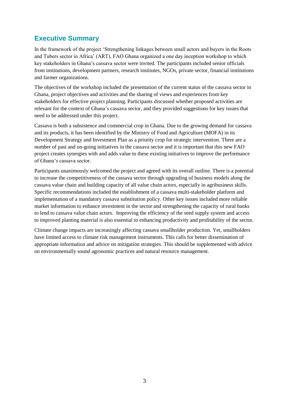# <span id="page-4-0"></span>**Executive Summary**

In the framework of the project 'Strengthening linkages between small actors and buyers in the Roots and Tubers sector in Africa' (ART), FAO Ghana organized a one day inception workshop to which key stakeholders in Ghana's cassava sector were invited. The participants included senior officials from institutions, development partners, research institutes, NGOs, private sector, financial institutions and farmer organizations.

The objectives of the workshop included the presentation of the current status of the cassava sector in Ghana, project objectives and activities and the sharing of views and experiences from key stakeholders for effective project planning. Participants discussed whether proposed activities are relevant for the context of Ghana's cassava sector, and they provided suggestions for key issues that need to be addressed under this project.

Cassava is both a subsistence and commercial crop in Ghana. Due to the growing demand for cassava and its products, it has been identified by the Ministry of Food and Agriculture (MOFA) in its Development Strategy and Investment Plan as a priority crop for strategic intervention. There are a number of past and on-going initiatives in the cassava sector and it is important that this new FAO project creates synergies with and adds value to these existing initiatives to improve the performance of Ghana's cassava sector.

Participants unanimously welcomed the project and agreed with its overall outline. There is a potential to increase the competitiveness of the cassava sector through upgrading of business models along the cassava value chain and building capacity of all value chain actors, especially in agribusiness skills. Specific recommendations included the establishment of a cassava multi-stakeholder platform and implementation of a mandatory cassava substitution policy. Other key issues included more reliable market information to enhance investment in the sector and strengthening the capacity of rural banks to lend to cassava value chain actors. Improving the efficiency of the seed supply system and access to improved planting material is also essential to enhancing productivity and profitability of the sector.

Climate change impacts are increasingly affecting cassava smallholder production. Yet, smallholders have limited access to climate risk management instruments. This calls for better dissemination of appropriate information and advice on mitigation strategies. This should be supplemented with advice on environmentally sound agronomic practices and natural resource management.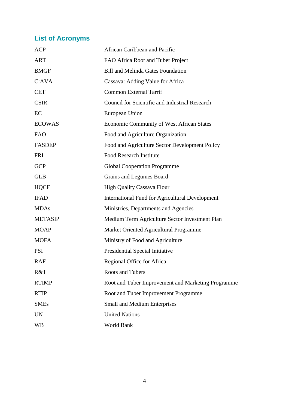# <span id="page-5-0"></span>**List of Acronyms**

| <b>ACP</b>     | African Caribbean and Pacific                          |  |  |  |  |
|----------------|--------------------------------------------------------|--|--|--|--|
| <b>ART</b>     | FAO Africa Root and Tuber Project                      |  |  |  |  |
| <b>BMGF</b>    | <b>Bill and Melinda Gates Foundation</b>               |  |  |  |  |
| C:AVA          | Cassava: Adding Value for Africa                       |  |  |  |  |
| <b>CET</b>     | <b>Common External Tarrif</b>                          |  |  |  |  |
| <b>CSIR</b>    | Council for Scientific and Industrial Research         |  |  |  |  |
| EC             | European Union                                         |  |  |  |  |
| <b>ECOWAS</b>  | Economic Community of West African States              |  |  |  |  |
| <b>FAO</b>     | Food and Agriculture Organization                      |  |  |  |  |
| <b>FASDEP</b>  | Food and Agriculture Sector Development Policy         |  |  |  |  |
| <b>FRI</b>     | <b>Food Research Institute</b>                         |  |  |  |  |
| <b>GCP</b>     | <b>Global Cooperation Programme</b>                    |  |  |  |  |
| <b>GLB</b>     | Grains and Legumes Board                               |  |  |  |  |
| <b>HQCF</b>    | <b>High Quality Cassava Flour</b>                      |  |  |  |  |
| <b>IFAD</b>    | <b>International Fund for Agricultural Development</b> |  |  |  |  |
| <b>MDAs</b>    | Ministries, Departments and Agencies                   |  |  |  |  |
| <b>METASIP</b> | Medium Term Agriculture Sector Investment Plan         |  |  |  |  |
| <b>MOAP</b>    | Market Oriented Agricultural Programme                 |  |  |  |  |
| <b>MOFA</b>    | Ministry of Food and Agriculture                       |  |  |  |  |
| <b>PSI</b>     | Presidential Special Initiative                        |  |  |  |  |
| RAF            | Regional Office for Africa                             |  |  |  |  |
| R&T            | Roots and Tubers                                       |  |  |  |  |
| <b>RTIMP</b>   | Root and Tuber Improvement and Marketing Programme     |  |  |  |  |
| <b>RTIP</b>    | Root and Tuber Improvement Programme                   |  |  |  |  |
| <b>SMEs</b>    | <b>Small and Medium Enterprises</b>                    |  |  |  |  |
| <b>UN</b>      | <b>United Nations</b>                                  |  |  |  |  |
| WB             | World Bank                                             |  |  |  |  |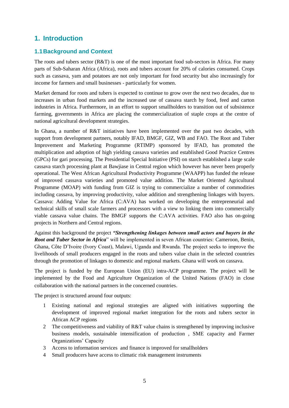# <span id="page-6-0"></span>**1. Introduction**

#### <span id="page-6-1"></span>**1.1Background and Context**

The roots and tubers sector (R&T) is one of the most important food sub-sectors in Africa. For many parts of Sub-Saharan Africa (Africa), roots and tubers account for 20% of calories consumed. Crops such as cassava, yam and potatoes are not only important for food security but also increasingly for income for farmers and small businesses - particularly for women.

Market demand for roots and tubers is expected to continue to grow over the next two decades, due to increases in urban food markets and the increased use of cassava starch by food, feed and carton industries in Africa. Furthermore, in an effort to support smallholders to transition out of subsistence farming, governments in Africa are placing the commercialization of staple crops at the centre of national agricultural development strategies.

In Ghana, a number of R&T initiatives have been implemented over the past two decades, with support from development partners, notably IFAD, BMGF, GIZ, WB and FAO. The Root and Tuber Improvement and Marketing Programme (RTIMP) sponsored by IFAD, has promoted the multiplication and adoption of high yielding cassava varieties and established Good Practice Centres (GPCs) for gari processing. The Presidential Special Initiative (PSI) on starch established a large scale cassava starch processing plant at Bawjiase in Central region which however has never been properly operational. The West African Agricultural Productivity Programme (WAAPP) has funded the release of improved cassava varieties and promoted value addition. The Market Oriented Agricultural Programme (MOAP) with funding from GIZ is trying to commercialize a number of commodities including cassava, by improving productivity, value addition and strengthening linkages with buyers. Cassava: Adding Value for Africa (C:AVA) has worked on developing the entrepreneurial and technical skills of small scale farmers and processors with a view to linking them into commercially viable cassava value chains. The BMGF supports the C:AVA activities. FAO also has on-going projects in Northern and Central regions.

Against this background the project *"Strengthening linkages between small actors and buyers in the Root and Tuber Sector in Africa*" will be implemented in seven African countries: Cameroon, Benin, Ghana, Côte D'Ivoire (Ivory Coast), Malawi, Uganda and Rwanda. The project seeks to improve the livelihoods of small producers engaged in the roots and tubers value chain in the selected countries through the promotion of linkages to domestic and regional markets. Ghana will work on cassava.

The project is funded by the European Union (EU) intra-ACP programme. The project will be implemented by the Food and Agriculture Organization of the United Nations (FAO) in close collaboration with the national partners in the concerned countries.

The project is structured around four outputs:

- 1 Existing national and regional strategies are aligned with initiatives supporting the development of improved regional market integration for the roots and tubers sector in African ACP regions
- 2 The competitiveness and viability of R&T value chains is strengthened by improving inclusive business models, sustainable intensification of production , SME capacity and Farmer Organizations' Capacity
- 3 Access to information services and finance is improved for smallholders
- 4 Small producers have access to climatic risk management instruments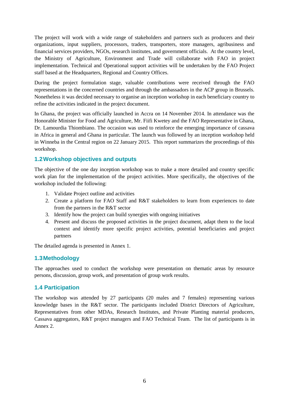The project will work with a wide range of stakeholders and partners such as producers and their organizations, input suppliers, processors, traders, transporters, store managers, agribusiness and financial services providers, NGOs, research institutes, and government officials. At the country level, the Ministry of Agriculture, Environment and Trade will collaborate with FAO in project implementation. Technical and Operational support activities will be undertaken by the FAO Project staff based at the Headquarters, Regional and Country Offices.

During the project formulation stage, valuable contributions were received through the FAO representations in the concerned countries and through the ambassadors in the ACP group in Brussels. Nonetheless it was decided necessary to organise an inception workshop in each beneficiary country to refine the activities indicated in the project document.

In Ghana, the project was officially launched in Accra on 14 November 2014. In attendance was the Honorable Minister for Food and Agriculture, Mr. Fiifi Kwetey and the FAO Representative in Ghana, Dr. Lamourdia Thiombiano. The occasion was used to reinforce the emerging importance of cassava in Africa in general and Ghana in particular. The launch was followed by an inception workshop held in Winneba in the Central region on 22 January 2015. This report summarizes the proceedings of this workshop.

## <span id="page-7-0"></span>**1.2Workshop objectives and outputs**

The objective of the one day inception workshop was to make a more detailed and country specific work plan for the implementation of the project activities. More specifically, the objectives of the workshop included the following:

- 1. Validate Project outline and activities
- 2. Create a platform for FAO Staff and R&T stakeholders to learn from experiences to date from the partners in the R&T sector
- 3. Identify how the project can build synergies with ongoing initiatives
- 4. Present and discuss the proposed activities in the project document, adapt them to the local context and identify more specific project activities, potential beneficiaries and project partners

The detailed agenda is presented in Annex 1.

#### <span id="page-7-1"></span>**1.3Methodology**

The approaches used to conduct the workshop were presentation on thematic areas by resource persons, discussion, group work, and presentation of group work results.

#### <span id="page-7-2"></span>**1.4 Participation**

The workshop was attended by 27 participants (20 males and 7 females) representing various knowledge bases in the R&T sector. The participants included District Directors of Agriculture, Representatives from other MDAs, Research Institutes, and Private Planting material producers, Cassava aggregators, R&T project managers and FAO Technical Team. The list of participants is in Annex 2.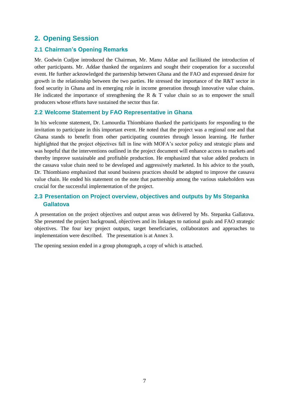# <span id="page-8-0"></span>**2. Opening Session**

#### <span id="page-8-1"></span>**2.1 Chairman's Opening Remarks**

Mr. Godwin Cudjoe introduced the Chairman, Mr. Manu Addae and facilitated the introduction of other participants. Mr. Addae thanked the organizers and sought their cooperation for a successful event. He further acknowledged the partnership between Ghana and the FAO and expressed desire for growth in the relationship between the two parties. He stressed the importance of the R&T sector in food security in Ghana and its emerging role in income generation through innovative value chains. He indicated the importance of strengthening the R  $\&$  T value chain so as to empower the small producers whose efforts have sustained the sector thus far.

#### <span id="page-8-2"></span>**2.2 Welcome Statement by FAO Representative in Ghana**

In his welcome statement, Dr. Lamourdia Thiombiano thanked the participants for responding to the invitation to participate in this important event. He noted that the project was a regional one and that Ghana stands to benefit from other participating countries through lesson learning. He further highlighted that the project objectives fall in line with MOFA's sector policy and strategic plans and was hopeful that the interventions outlined in the project document will enhance access to markets and thereby improve sustainable and profitable production. He emphasized that value added products in the cassava value chain need to be developed and aggressively marketed. In his advice to the youth, Dr. Thiombiano emphasized that sound business practices should be adopted to improve the cassava value chain. He ended his statement on the note that partnership among the various stakeholders was crucial for the successful implementation of the project.

## <span id="page-8-3"></span>**2.3 Presentation on Project overview, objectives and outputs by Ms Stepanka Gallatova**

A presentation on the project objectives and output areas was delivered by Ms. Stepanka Gallatova. She presented the project background, objectives and its linkages to national goals and FAO strategic objectives. The four key project outputs, target beneficiaries, collaborators and approaches to implementation were described. The presentation is at Annex 3.

The opening session ended in a group photograph, a copy of which is attached.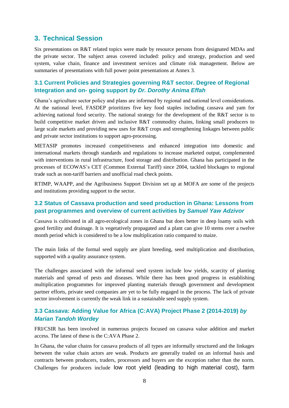# <span id="page-9-0"></span>**3. Technical Session**

Six presentations on R&T related topics were made by resource persons from designated MDAs and the private sector. The subject areas covered included: policy and strategy, production and seed system, value chain, finance and investment services and climate risk management. Below are summaries of presentations with full power point presentations at Annex 3.

## <span id="page-9-1"></span>**3.1 Current Policies and Strategies governing R&T sector. Degree of Regional Integration and on- going support** *by Dr. Dorothy Anima Effah*

Ghana's agriculture sector policy and plans are informed by regional and national level considerations. At the national level, FASDEP prioritizes five key food staples including cassava and yam for achieving national food security. The national strategy for the development of the R&T sector is to build competitive market driven and inclusive R&T commodity chains, linking small producers to large scale markets and providing new uses for R&T crops and strengthening linkages between public and private sector institutions to support agro-processing.

METASIP promotes increased competitiveness and enhanced integration into domestic and international markets through standards and regulations to increase marketed output, complemented with interventions in rural infrastructure, food storage and distribution. Ghana has participated in the processes of ECOWAS's CET (Common External Tariff) since 2004, tackled blockages to regional trade such as non-tariff barriers and unofficial road check points.

RTIMP, WAAPP, and the Agribusiness Support Division set up at MOFA are some of the projects and institutions providing support to the sector.

## <span id="page-9-2"></span>**3.2 Status of Cassava production and seed production in Ghana: Lessons from past programmes and overview of current activities by** *Samuel Yaw Adzivor*

Cassava is cultivated in all agro-ecological zones in Ghana but does better in deep loamy soils with good fertility and drainage. It is vegetatively propagated and a plant can give 10 stems over a twelve month period which is considered to be a low multiplication ratio compared to maize.

The main links of the formal seed supply are plant breeding, seed multiplication and distribution, supported with a quality assurance system.

The challenges associated with the informal seed system include low yields, scarcity of planting materials and spread of pests and diseases. While there has been good progress in establishing multiplication programmes for improved planting materials through government and development partner efforts, private seed companies are yet to be fully engaged in the process. The lack of private sector involvement is currently the weak link in a sustainable seed supply system.

## <span id="page-9-3"></span>**3.3 Cassava: Adding Value for Africa (C:AVA) Project Phase 2 (2014-2019)** *by Marian Tandoh Wordey*

FRI/CSIR has been involved in numerous projects focused on cassava value addition and market access. The latest of these is the C:AVA Phase 2.

In Ghana, the value chains for cassava products of all types are informally structured and the linkages between the value chain actors are weak. Products are generally traded on an informal basis and contracts between producers, traders, processors and buyers are the exception rather than the norm. Challenges for producers include low root yield (leading to high material cost), farm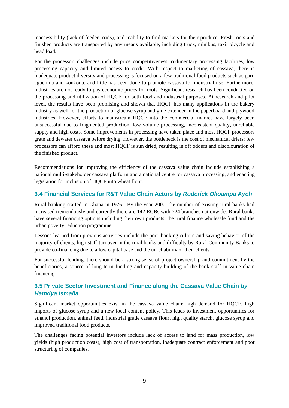inaccessibility (lack of feeder roads), and inability to find markets for their produce. Fresh roots and finished products are transported by any means available, including truck, minibus, taxi, bicycle and head load.

For the processor, challenges include price competitiveness, rudimentary processing facilities, low processing capacity and limited access to credit. With respect to marketing of cassava, there is inadequate product diversity and processing is focused on a few traditional food products such as gari, agbelima and konkonte and little has been done to promote cassava for industrial use. Furthermore, industries are not ready to pay economic prices for roots. Significant research has been conducted on the processing and utilization of HQCF for both food and industrial purposes. At research and pilot level, the results have been promising and shown that HQCF has many applications in the bakery industry as well for the production of glucose syrup and glue extender in the paperboard and plywood industries. However, efforts to mainstream HQCF into the commercial market have largely been unsuccessful due to fragmented production, low volume processing, inconsistent quality, unreliable supply and high costs. Some improvements in processing have taken place and most HQCF processors grate and dewater cassava before drying. However, the bottleneck is the cost of mechanical driers; few processors can afford these and most HQCF is sun dried, resulting in off odours and discolouration of the finished product.

Recommendations for improving the efficiency of the cassava value chain include establishing a national multi-stakeholder cassava platform and a national centre for cassava processing, and enacting legislation for inclusion of HQCF into wheat flour.

## <span id="page-10-0"></span>**3.4 Financial Services for R&T Value Chain Actors by** *Roderick Okoampa Ayeh*

Rural banking started in Ghana in 1976. By the year 2000, the number of existing rural banks had increased tremendously and currently there are 142 RCBs with 724 branches nationwide. Rural banks have several financing options including their own products, the rural finance wholesale fund and the urban poverty reduction programme.

Lessons learned from previous activities include the poor banking culture and saving behavior of the majority of clients, high staff turnover in the rural banks and difficulty by Rural Community Banks to provide co-financing due to a low capital base and the unreliability of their clients.

For successful lending, there should be a strong sense of project ownership and commitment by the beneficiaries, a source of long term funding and capacity building of the bank staff in value chain financing

# <span id="page-10-1"></span>**3.5 Private Sector Investment and Finance along the Cassava Value Chain** *by Hamdya Ismaila*

Significant market opportunities exist in the cassava value chain: high demand for HQCF, high imports of glucose syrup and a new local content policy. This leads to investment opportunities for ethanol production, animal feed, industrial grade cassava flour, high quality starch, glucose syrup and improved traditional food products.

The challenges facing potential investors include lack of access to land for mass production, low yields (high production costs), high cost of transportation, inadequate contract enforcement and poor structuring of companies.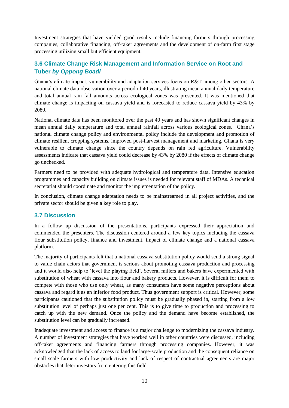Investment strategies that have yielded good results include financing farmers through processing companies, collaborative financing, off-taker agreements and the development of on-farm first stage processing utilizing small but efficient equipment.

## <span id="page-11-0"></span>**3.6 Climate Change Risk Management and Information Service on Root and Tuber** *by Oppong Boadi*

Ghana's climate impact, vulnerability and adaptation services focus on R&T among other sectors. A national climate data observation over a period of 40 years, illustrating mean annual daily temperature and total annual rain fall amounts across ecological zones was presented. It was mentioned that climate change is impacting on cassava yield and is forecasted to reduce cassava yield by 43% by 2080.

National climate data has been monitored over the past 40 years and has shown significant changes in mean annual daily temperature and total annual rainfall across various ecological zones. Ghana's national climate change policy and environmental policy include the development and promotion of climate resilient cropping systems, improved post-harvest management and marketing. Ghana is very vulnerable to climate change since the country depends on rain fed agriculture. Vulnerability assessments indicate that cassava yield could decrease by 43% by 2080 if the effects of climate change go unchecked.

Farmers need to be provided with adequate hydrological and temperature data. Intensive education programmes and capacity building on climate issues is needed for relevant staff of MDAs. A technical secretariat should coordinate and monitor the implementation of the policy.

In conclusion, climate change adaptation needs to be mainstreamed in all project activities, and the private sector should be given a key role to play.

#### <span id="page-11-1"></span>**3.7 Discussion**

In a follow up discussion of the presentations, participants expressed their appreciation and commended the presenters. The discussion centered around a few key topics including the cassava flour substitution policy, finance and investment, impact of climate change and a national cassava platform.

The majority of participants felt that a national cassava substitution policy would send a strong signal to value chain actors that government is serious about promoting cassava production and processing and it would also help to 'level the playing field'. Several millers and bakers have experimented with substitution of wheat with cassava into flour and bakery products. However, it is difficult for them to compete with those who use only wheat, as many consumers have some negative perceptions about cassava and regard it as an inferior food product. Thus government support is critical. However, some participants cautioned that the substitution policy must be gradually phased in, starting from a low substitution level of perhaps just one per cent. This is to give time to production and processing to catch up with the new demand. Once the policy and the demand have become established, the substitution level can be gradually increased.

Inadequate investment and access to finance is a major challenge to modernizing the cassava industry. A number of investment strategies that have worked well in other countries were discussed, including off-taker agreements and financing farmers through processing companies. However, it was acknowledged that the lack of access to land for large-scale production and the consequent reliance on small scale farmers with low productivity and lack of respect of contractual agreements are major obstacles that deter investors from entering this field.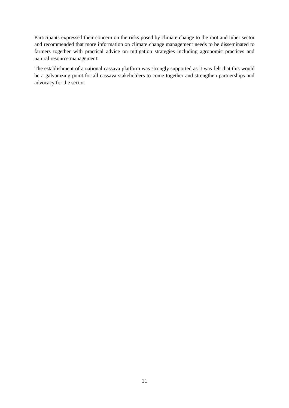Participants expressed their concern on the risks posed by climate change to the root and tuber sector and recommended that more information on climate change management needs to be disseminated to farmers together with practical advice on mitigation strategies including agronomic practices and natural resource management.

The establishment of a national cassava platform was strongly supported as it was felt that this would be a galvanizing point for all cassava stakeholders to come together and strengthen partnerships and advocacy for the sector.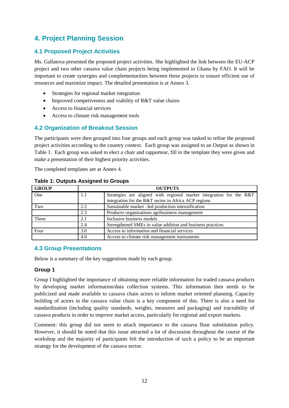# <span id="page-13-0"></span>**4. Project Planning Session**

## <span id="page-13-1"></span>**4.1 Proposed Project Activities**

Ms. Gallatova presented the proposed project activities. She highlighted the link between the EU-ACP project and two other cassava value chain projects being implemented in Ghana by FAO. It will be important to create synergies and complementarities between these projects to ensure efficient use of resources and maximize impact. The detailed presentation is at Annex 3.

- Strategies for regional market integration
- Improved competiveness and viability of R&T value chains
- Access to financial services
- Access to climate risk management tools

## <span id="page-13-2"></span>**4.2 Organization of Breakout Session**

The participants were then grouped into four groups and each group was tasked to refine the proposed project activities according to the country context. Each group was assigned to an Output as shown in Table 1. Each group was asked to elect a chair and rapporteur, fill in the template they were given and make a presentation of their highest priority activities.

The completed templates are at Annex 4.

| <b>GROUP</b> |     | <b>OUTPUTS</b>                                                                                                              |  |  |  |  |  |  |  |  |
|--------------|-----|-----------------------------------------------------------------------------------------------------------------------------|--|--|--|--|--|--|--|--|
| One          | 1.1 | Strategies are aligned with regional market integration for the R&T<br>integration for the R&T sector in Africa ACP regions |  |  |  |  |  |  |  |  |
| Two          | 2.2 | Sustainable market -led production intensification                                                                          |  |  |  |  |  |  |  |  |
|              | 2.3 | Producer organizations agribusiness management                                                                              |  |  |  |  |  |  |  |  |
| Three        | 2.1 | Inclusive business models                                                                                                   |  |  |  |  |  |  |  |  |
|              | 2.4 | Strengthened SMEs in value addition and business practices                                                                  |  |  |  |  |  |  |  |  |
| Four         | 3.0 | Access to information and financial services                                                                                |  |  |  |  |  |  |  |  |
|              | 4.0 | Access to climate risk management instruments                                                                               |  |  |  |  |  |  |  |  |

#### **Table 1: Outputs Assigned to Groups**

## <span id="page-13-3"></span>**4.3 Group Presentations**

Below is a summary of the key suggestions made by each group.

#### **Group 1**

Group I highlighted the importance of obtaining more reliable information for traded cassava products by developing market information/data collection systems. This information then needs to be publicized and made available to cassava chain actors to inform market oriented planning. Capacity building of actors in the cassava value chain is a key component of this. There is also a need for standardization (including quality standards, weights, measures and packaging) and traceability of cassava products in order to improve market access, particularly for regional and export markets.

Comment: this group did not seem to attach importance to the cassava flour substitution policy. However, it should be noted that this issue attracted a lot of discussion throughout the course of the workshop and the majority of participants felt the introduction of such a policy to be an important strategy for the development of the cassava sector.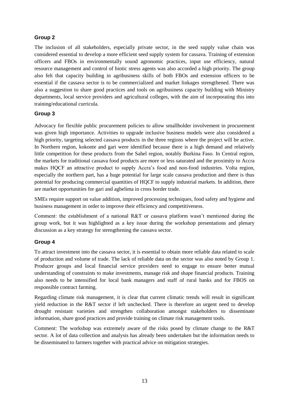#### **Group 2**

The inclusion of all stakeholders, especially private sector, in the seed supply value chain was considered essential to develop a more efficient seed supply system for cassava. Training of extension officers and FBOs in environmentally sound agronomic practices, input use efficiency, natural resource management and control of biotic stress agents was also accorded a high priority. The group also felt that capacity building in agribusiness skills of both FBOs and extension officers to be essential if the cassava sector is to be commercialized and market linkages strengthened. There was also a suggestion to share good practices and tools on agribusiness capacity building with Ministry departments, local service providers and agricultural colleges, with the aim of incorporating this into training/educational curricula.

#### **Group 3**

Advocacy for flexible public procurement policies to allow smallholder involvement in procurement was given high importance. Activities to upgrade inclusive business models were also considered a high priority, targeting selected cassava products in the three regions where the project will be active. In Northern region, kokonte and gari were identified because there is a high demand and relatively little competition for these products from the Sahel region, notably Burkina Faso. In Central region, the markets for traditional cassava food products are more or less saturated and the proximity to Accra makes HQCF an attractive product to supply Accra's food and non-food industries. Volta region, especially the northern part, has a huge potential for large scale cassava production and there is thus potential for producing commercial quantities of HQCF to supply industrial markets. In addition, there are market opportunities for gari and agbelima in cross border trade.

SMEs require support on value addition, improved processing techniques, food safety and hygiene and business management in order to improve their efficiency and competitiveness.

Comment: the establishment of a national R&T or cassava platform wasn't mentioned during the group work, but it was highlighted as a key issue during the workshop presentations and plenary discussion as a key strategy for strengthening the cassava sector.

#### **Group 4**

To attract investment into the cassava sector, it is essential to obtain more reliable data related to scale of production and volume of trade. The lack of reliable data on the sector was also noted by Group 1. Producer groups and local financial service providers need to engage to ensure better mutual understanding of constraints to make investments, manage risk and shape financial products. Training also needs to be intensified for local bank managers and staff of rural banks and for FBOS on responsible contract farming.

Regarding climate risk management, it is clear that current climatic trends will result in significant yield reduction in the R&T sector if left unchecked. There is therefore an urgent need to develop drought resistant varieties and strengthen collaboration amongst stakeholders to disseminate information, share good practices and provide training on climate risk management tools.

Comment: The workshop was extremely aware of the risks posed by climate change to the R&T sector. A lot of data collection and analysis has already been undertaken but the information needs to be disseminated to farmers together with practical advice on mitigation strategies.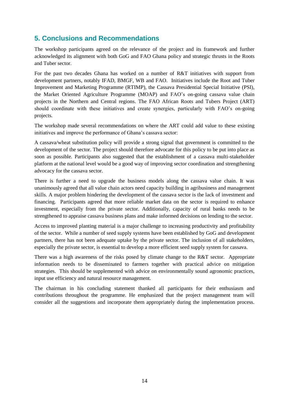# <span id="page-15-0"></span>**5. Conclusions and Recommendations**

The workshop participants agreed on the relevance of the project and its framework and further acknowledged its alignment with both GoG and FAO Ghana policy and strategic thrusts in the Roots and Tuber sector.

For the past two decades Ghana has worked on a number of R&T initiatives with support from development partners, notably IFAD, BMGF, WB and FAO. Initiatives include the Root and Tuber Improvement and Marketing Programme (RTIMP), the Cassava Presidential Special Initiative (PSI), the Market Oriented Agriculture Programme (MOAP) and FAO's on-going cassava value chain projects in the Northern and Central regions. The FAO African Roots and Tubers Project (ART) should coordinate with these initiatives and create synergies, particularly with FAO's on-going projects.

The workshop made several recommendations on where the ART could add value to these existing initiatives and improve the performance of Ghana's cassava sector:

A cassava/wheat substitution policy will provide a strong signal that government is committed to the development of the sector. The project should therefore advocate for this policy to be put into place as soon as possible. Participants also suggested that the establishment of a cassava multi-stakeholder platform at the national level would be a good way of improving sector coordination and strengthening advocacy for the cassava sector.

There is further a need to upgrade the business models along the cassava value chain. It was unanimously agreed that all value chain actors need capacity building in agribusiness and management skills. A major problem hindering the development of the cassava sector is the lack of investment and financing. Participants agreed that more reliable market data on the sector is required to enhance investment, especially from the private sector. Additionally, capacity of rural banks needs to be strengthened to appraise cassava business plans and make informed decisions on lending to the sector.

Access to improved planting material is a major challenge to increasing productivity and profitability of the sector. While a number of seed supply systems have been established by GoG and development partners, there has not been adequate uptake by the private sector. The inclusion of all stakeholders, especially the private sector, is essential to develop a more efficient seed supply system for cassava.

There was a high awareness of the risks posed by climate change to the R&T sector. Appropriate information needs to be disseminated to farmers together with practical advice on mitigation strategies. This should be supplemented with advice on environmentally sound agronomic practices, input use efficiency and natural resource management.

The chairman in his concluding statement thanked all participants for their enthusiasm and contributions throughout the programme. He emphasized that the project management team will consider all the suggestions and incorporate them appropriately during the implementation process.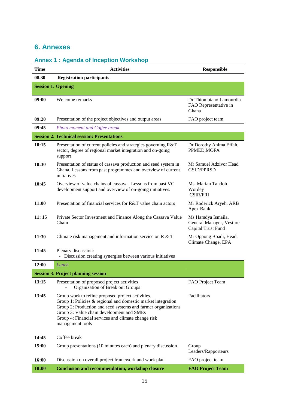# <span id="page-16-0"></span>**6. Annexes**

# **Annex 1 : Agenda of Inception Workshop**

| <b>Time</b> | <b>Activities</b>                                                                                                                                                                                                                                                                                             | <b>Responsible</b>                                                   |
|-------------|---------------------------------------------------------------------------------------------------------------------------------------------------------------------------------------------------------------------------------------------------------------------------------------------------------------|----------------------------------------------------------------------|
| 08.30       | <b>Registration participants</b>                                                                                                                                                                                                                                                                              |                                                                      |
|             | <b>Session 1: Opening</b>                                                                                                                                                                                                                                                                                     |                                                                      |
| 09:00       | Welcome remarks                                                                                                                                                                                                                                                                                               | Dr Thiombiano Lamourdia<br>FAO Representative in<br>Ghana            |
| 09:20       | Presentation of the project objectives and output areas                                                                                                                                                                                                                                                       | FAO project team                                                     |
| 09:45       | Photo moment and Coffee break                                                                                                                                                                                                                                                                                 |                                                                      |
|             | <b>Session 2: Technical session: Presentations</b>                                                                                                                                                                                                                                                            |                                                                      |
| 10:15       | Presentation of current policies and strategies governing R&T<br>sector, degree of regional market integration and on-going<br>support                                                                                                                                                                        | Dr Dorothy Anima Effah,<br>PPMED, MOFA                               |
| 10:30       | Presentation of status of cassava production and seed system in<br>Ghana. Lessons from past programmes and overview of current<br>initiatives                                                                                                                                                                 | Mr Samuel Adzivor Head<br><b>GSID/PPRSD</b>                          |
| 10:45       | Overview of value chains of cassava. Lessons from past VC<br>development support and overview of on-going initiatives.                                                                                                                                                                                        | Ms. Marian Tandoh<br>Wordey<br><b>CSIR/FRI</b>                       |
| 11:00       | Presentation of financial services for R&T value chain actors                                                                                                                                                                                                                                                 | Mr Roderick Aryeh, ARB<br>Apex Bank                                  |
| 11:15       | Private Sector Investment and Finance Along the Cassava Value<br>Chain                                                                                                                                                                                                                                        | Ms Hamdya Ismaila,<br>General Manager, Vesture<br>Capital Trust Fund |
| 11:30       | Climate risk management and information service on R & T                                                                                                                                                                                                                                                      | Mr Oppong Boadi, Head,<br>Climate Change, EPA                        |
| $11:45-$    | Plenary discussion:<br>Discussion creating synergies between various initiatives<br>$\blacksquare$                                                                                                                                                                                                            |                                                                      |
| 12:00       | Lunch                                                                                                                                                                                                                                                                                                         |                                                                      |
|             | <b>Session 3: Project planning session</b>                                                                                                                                                                                                                                                                    |                                                                      |
| 13:15       | Presentation of proposed project activities<br>Organization of Break out Groups                                                                                                                                                                                                                               | FAO Project Team                                                     |
| 13:45       | Group work to refine proposed project activities.<br>Group 1: Policies $\&$ regional and domestic market integration<br>Group 2: Production and seed systems and farmer organizations<br>Group 3: Value chain development and SMEs<br>Group 4: Financial services and climate change risk<br>management tools | Facilitators                                                         |
| 14:45       | Coffee break                                                                                                                                                                                                                                                                                                  |                                                                      |
| 15:00       | Group presentations (10 minutes each) and plenary discussion                                                                                                                                                                                                                                                  | Group<br>Leaders/Rapporteurs                                         |
| 16:00       | Discussion on overall project framework and work plan                                                                                                                                                                                                                                                         | FAO project team                                                     |
| 18:00       | <b>Conclusion and recommendation, workshop closure</b>                                                                                                                                                                                                                                                        | <b>FAO Project Team</b>                                              |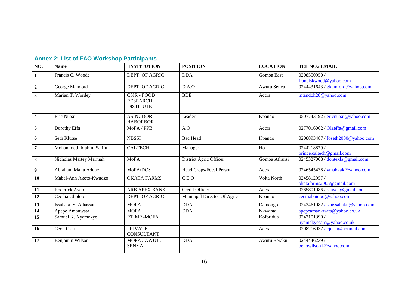|  |  |  |  | <b>Annex 2: List of FAO Workshop Participants</b> |
|--|--|--|--|---------------------------------------------------|
|--|--|--|--|---------------------------------------------------|

| NO.                     | <b>Name</b>             | <b>INSTITUTION</b>                                        | <b>POSITION</b>             | <b>LOCATION</b> | TEL NO./ EMAIL                           |
|-------------------------|-------------------------|-----------------------------------------------------------|-----------------------------|-----------------|------------------------------------------|
| 1                       | Francis C. Woode        | <b>DEPT. OF AGRIC</b>                                     | <b>DDA</b>                  | Gomoa East      | 0208550950/<br>franciskwood@yahoo.com    |
| $\boldsymbol{2}$        | George Mandord          | DEPT. OF AGRIC                                            | D.A.O                       | Awutu Senya     | 0244431643 / gkamford@yahoo.com          |
| $\mathbf{3}$            | Marian T. Wordey        | <b>CSIR - FOOD</b><br><b>RESEARCH</b><br><b>INSTITUTE</b> | <b>BDE</b>                  | Accra           | mtandoh28@yahoo.com                      |
| $\overline{\mathbf{4}}$ | Eric Nutsu              | <b>ASINUDOR</b><br><b>HABORBOR</b>                        | Leader                      | Kpando          | 0507743192 / ericnutsu@yahoo.com         |
| 5                       | Dorothy Effa            | MoFA / PPB                                                | A.O                         | Accra           | 0277016062 / Olaeffa@gmail.com           |
| 6                       | Seth Klutse             | <b>NBSSI</b>                                              | <b>Bac Head</b>             | Kpando          | 0208893487 / foseth2000@yahoo.com        |
| $\overline{7}$          | Mohammed Ibrahim Salifu | <b>CALTECH</b>                                            | Manager                     | Ho              | 0244218879 /<br>prince.caltech@gmail.com |
| $\bf{8}$                | Nicholas Martey Marmah  | <b>MoFA</b>                                               | District Agric Officer      | Gomoa Afransi   | 0245327008 / dontexla@gmail.com          |
| 9                       | Abraham Manu Addae      | MoFA/DCS                                                  | Head Crops/Focal Person     | Accra           | 0246545438 / ymabkak@yahoo.com           |
| 10                      | Mabel-Ann Akoto-Kwudzo  | <b>OKATA FARMS</b>                                        | C.E.O                       | Volta North     | 0245812957/<br>okatafarms2005@gmail.com  |
| 11                      | Roderick Ayeh           | <b>ARB APEX BANK</b>                                      | <b>Credit Officer</b>       | Accra           | 0265801086 / roaych@gmail.com            |
| 12                      | Cecilia Gboloo          | DEPT. OF AGRIC                                            | Municipal Director Of Agric | Kpando          | ceciliabaidoo@yahoo.com                  |
| 13                      | Issahaku S. Alhassan    | <b>MOFA</b>                                               | <b>DDA</b>                  | Damongo         | 0243461082 / s.aissahaku@yahoo.com       |
| 14                      | Apepe Amanwata          | <b>MOFA</b>                                               | <b>DDA</b>                  | Nkwanta         | apepeamankwata@yahoo.co.uk               |
| 15                      | Samuel K. Nyamekye      | <b>RTIMP-MOFA</b>                                         |                             | Koforidua       | 0243101390 /<br>nyamekyesam@yahoo.co.uk  |
| 16                      | Cecil Osei              | <b>PRIVATE</b><br><b>CONSULTANT</b>                       |                             | Accra           | 0208216037 / cjosei@hotmail.com          |
| 17                      | Benjamin Wilson         | MOFA / AWUTU<br><b>SENYA</b>                              | <b>DDA</b>                  | Awutu Beraku    | 0244446239 /<br>benowilson1@yahoo.com    |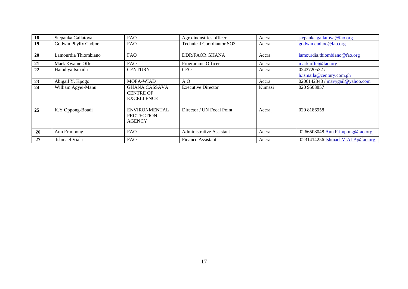| 18 | Stepanka Gallatova   | <b>FAO</b>                                                    | Agro-industries officer          | Accra  | stepanka.gallatova@fao.org               |
|----|----------------------|---------------------------------------------------------------|----------------------------------|--------|------------------------------------------|
| 19 | Godwin Phylix Cudjoe | <b>FAO</b>                                                    | <b>Technical Coordiantor SO3</b> | Accra  | godwin.cudjoe@fao.org                    |
| 20 | Lamourdia Thiombiano | <b>FAO</b>                                                    | <b>DDR/FAOR GHANA</b>            | Accra  | lamourdia.thiombiano@fao.org             |
| 21 | Mark Kwame Offei     | <b>FAO</b>                                                    | Programme Officer                | Accra  | mark.offei@fao.org                       |
| 22 | Hamdiya Ismaila      | <b>CENTURY</b>                                                | <b>CEO</b>                       | Accra  | 0243720532 /<br>h.ismaila@century.com.gh |
| 23 | Abigail Y. Kpogo     | <b>MOFA-WIAD</b>                                              | A.O                              | Accra  | 0206142348 / mavygail@yahoo.com          |
| 24 | William Agyei-Manu   | <b>GHANA CASSAVA</b><br><b>CENTRE OF</b><br><b>EXCELLENCE</b> | <b>Executive Director</b>        | Kumasi | 020 9503857                              |
| 25 | K.Y Oppong-Boadi     | <b>ENVIRONMENTAL</b><br><b>PROTECTION</b><br><b>AGENCY</b>    | Director / UN Focal Point        | Accra  | 020 8186958                              |
| 26 | Ann Frimpong         | <b>FAO</b>                                                    | Administrative Assistant         | Accra  | 0266508048 Ann.Frimpong@fao.org          |
| 27 | Ishmael Viala        | <b>FAO</b>                                                    | <b>Finance Assistant</b>         | Accra  | 0231414256 Ishmael.VIALA@fao.org         |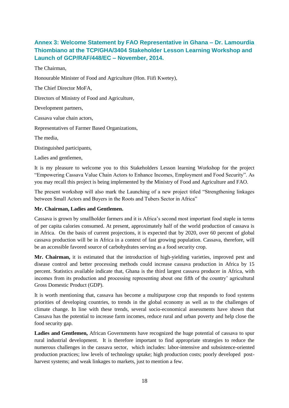# **Annex 3: Welcome Statement by FAO Representative in Ghana – Dr. Lamourdia Thiombiano at the TCP/GHA/3404 Stakeholder Lesson Learning Workshop and Launch of GCP/RAF/448/EC – November, 2014.**

The Chairman,

Honourable Minister of Food and Agriculture (Hon. Fiifi Kwetey),

The Chief Director MoFA,

Directors of Ministry of Food and Agriculture,

Development partners,

Cassava value chain actors,

Representatives of Farmer Based Organizations,

The media,

Distinguished participants,

Ladies and gentlemen,

It is my pleasure to welcome you to this Stakeholders Lesson learning Workshop for the project "Empowering Cassava Value Chain Actors to Enhance Incomes, Employment and Food Security". As you may recall this project is being implemented by the Ministry of Food and Agriculture and FAO.

The present workshop will also mark the Launching of a new project titled "Strengthening linkages between Small Actors and Buyers in the Roots and Tubers Sector in Africa"

#### **Mr. Chairman, Ladies and Gentlemen.**

Cassava is grown by smallholder farmers and it is Africa's second most important food staple in terms of per capita calories consumed. At present, approximately half of the world production of cassava is in Africa. On the basis of current projections, it is expected that by 2020, over 60 percent of global cassava production will be in Africa in a context of fast growing population. Cassava, therefore, will be an accessible favored source of carbohydrates serving as a food security crop.

**Mr. Chairman,** it is estimated that the introduction of high-yielding varieties, improved pest and disease control and better processing methods could increase cassava production in Africa by 15 percent. Statistics available indicate that, Ghana is the third largest cassava producer in Africa, with incomes from its production and processing representing about one fifth of the country' agricultural Gross Domestic Product (GDP).

It is worth mentioning that, cassava has become a multipurpose crop that responds to food systems priorities of developing countries, to trends in the global economy as well as to the challenges of climate change. In line with these trends, several socio-economical assessments have shown that Cassava has the potential to increase farm incomes, reduce rural and urban poverty and help close the food security gap.

**Ladies and Gentlemen,** African Governments have recognized the huge potential of cassava to spur rural industrial development. It is therefore important to find appropriate strategies to reduce the numerous challenges in the cassava sector, which includes: labor-intensive and subsistence-oriented production practices; low levels of technology uptake; high production costs; poorly developed postharvest systems; and weak linkages to markets, just to mention a few.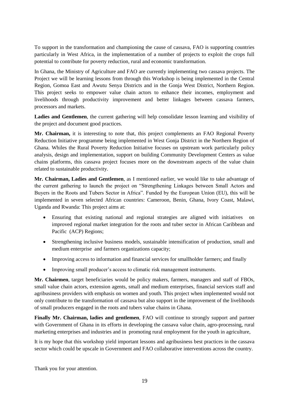To support in the transformation and championing the cause of cassava, FAO is supporting countries particularly in West Africa, in the implementation of a number of projects to exploit the crops full potential to contribute for poverty reduction, rural and economic transformation.

In Ghana, the Ministry of Agriculture and FAO are currently implementing two cassava projects. The Project we will be learning lessons from through this Workshop is being implemented in the Central Region, Gomoa East and Awutu Senya Districts and in the Gonja West District, Northern Region. This project seeks to empower value chain actors to enhance their incomes, employment and livelihoods through productivity improvement and better linkages between cassava farmers, processors and markets.

**Ladies and Gentlemen**, the current gathering will help consolidate lesson learning and visibility of the project and document good practices.

**Mr. Chairman,** it is interesting to note that, this project complements an FAO Regional Poverty Reduction Initiative programme being implemented in West Gonja District in the Northern Region of Ghana. Whiles the Rural Poverty Reduction Initiative focuses on upstream work particularly policy analysis, design and implementation, support on building Community Development Centers as value chains platforms, this cassava project focuses more on the downstream aspects of the value chain related to sustainable productivity.

**Mr. Chairman, Ladies and Gentlemen**, as I mentioned earlier, we would like to take advantage of the current gathering to launch the project on "Strengthening Linkages between Small Actors and Buyers in the Roots and Tubers Sector in Africa". Funded by the European Union (EU), this will be implemented in seven selected African countries: Cameroon, Benin, Ghana, Ivory Coast, Malawi, Uganda and Rwanda: This project aims at:

- Ensuring that existing national and regional strategies are aligned with initiatives on improved regional market integration for the roots and tuber sector in African Caribbean and Pacific (ACP) Regions;
- Strengthening inclusive business models, sustainable intensification of production, small and medium enterprise and farmers organizations capacity;
- Improving access to information and financial services for smallholder farmers; and finally
- Improving small producer's access to climatic risk management instruments.

**Mr. Chairmen**, target beneficiaries would be policy makers, farmers, managers and staff of FBOs, small value chain actors, extension agents, small and medium enterprises, financial services staff and agribusiness providers with emphasis on women and youth. This project when implemented would not only contribute to the transformation of cassava but also support in the improvement of the livelihoods of small producers engaged in the roots and tubers value chains in Ghana.

**Finally Mr. Chairman, ladies and gentlemen**, FAO will continue to strongly support and partner with Government of Ghana in its efforts in developing the cassava value chain, agro-processing, rural marketing enterprises and industries and in promoting rural employment for the youth in agriculture,

It is my hope that this workshop yield important lessons and agribusiness best practices in the cassava sector which could be upscale in Government and FAO collaborative interventions across the country.

Thank you for your attention.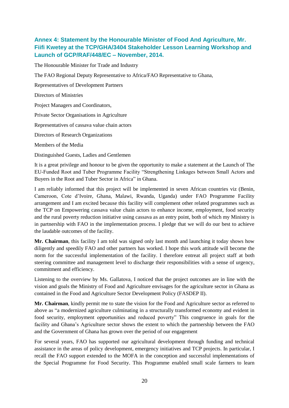## **Annex 4: Statement by the Honourable Minister of Food And Agriculture, Mr. Fiifi Kwetey at the TCP/GHA/3404 Stakeholder Lesson Learning Workshop and Launch of GCP/RAF/448/EC – November, 2014.**

The Honourable Minister for Trade and Industry

The FAO Regional Deputy Representative to Africa/FAO Representative to Ghana,

Representatives of Development Partners

Directors of Ministries

Project Managers and Coordinators,

Private Sector Organisations in Agriculture

Representatives of cassava value chain actors

Directors of Research Organizations

Members of the Media

Distinguished Guests, Ladies and Gentlemen

It is a great privilege and honour to be given the opportunity to make a statement at the Launch of The EU-Funded Root and Tuber Programme Facility "Strengthening Linkages between Small Actors and Buyers in the Root and Tuber Sector in Africa" in Ghana.

I am reliably informed that this project will be implemented in seven African countries viz (Benin, Cameroon, Cote d'Ivoire, Ghana, Malawi, Rwanda, Uganda) under FAO Programme Facility arrangement and I am excited because this facility will complement other related programmes such as the TCP on Empowering cassava value chain actors to enhance income, employment, food security and the rural poverty reduction initiative using cassava as an entry point, both of which my Ministry is in partnership with FAO in the implementation process. I pledge that we will do our best to achieve the laudable outcomes of the facility.

**Mr. Chairman**, this facility I am told was signed only last month and launching it today shows how diligently and speedily FAO and other partners has worked. I hope this work attitude will become the norm for the successful implementation of the facility. I therefore entreat all project staff at both steering committee and management level to discharge their responsibilities with a sense of urgency, commitment and efficiency.

Listening to the overview by Ms. Gallatova, I noticed that the project outcomes are in line with the vision and goals the Ministry of Food and Agriculture envisages for the agriculture sector in Ghana as contained in the Food and Agriculture Sector Development Policy (FASDEP II).

**Mr. Chairman**, kindly permit me to state the vision for the Food and Agriculture sector as referred to above as "a modernized agriculture culminating in a structurally transformed economy and evident in food security, employment opportunities and reduced poverty" This congruence in goals for the facility and Ghana's Agriculture sector shows the extent to which the partnership between the FAO and the Government of Ghana has grown over the period of our engagement

For several years, FAO has supported our agricultural development through funding and technical assistance in the areas of policy development, emergency initiatives and TCP projects. In particular, I recall the FAO support extended to the MOFA in the conception and successful implementations of the Special Programme for Food Security. This Programme enabled small scale farmers to learn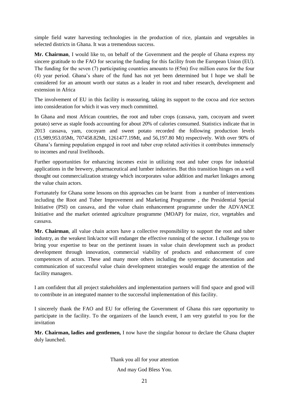simple field water harvesting technologies in the production of rice, plantain and vegetables in selected districts in Ghana. It was a tremendous success.

**Mr. Chairman**, I would like to, on behalf of the Government and the people of Ghana express my sincere gratitude to the FAO for securing the funding for this facility from the European Union (EU). The funding for the seven (7) participating countries amounts to ( $\epsilon$ 5m) five million euros for the four (4) year period. Ghana's share of the fund has not yet been determined but I hope we shall be considered for an amount worth our status as a leader in root and tuber research, development and extension in Africa

The involvement of EU in this facility is reassuring, taking its support to the cocoa and rice sectors into consideration for which it was very much committed.

In Ghana and most African countries, the root and tuber crops (cassava, yam, cocoyam and sweet potato) serve as staple foods accounting for about 20% of calories consumed. Statistics indicate that in 2013 cassava, yam, cocoyam and sweet potato recorded the following production levels (15,989,953.05Mt, 707458.82Mt, 1261477.19Mt, and 56,197.80 Mt) respectively. With over 90% of Ghana's farming population engaged in root and tuber crop related activities it contributes immensely to incomes and rural livelihoods.

Further opportunities for enhancing incomes exist in utilizing root and tuber crops for industrial applications in the brewery, pharmaceutical and lumber industries. But this transition hinges on a well thought out commercialization strategy which incorporates value addition and market linkages among the value chain actors.

Fortunately for Ghana some lessons on this approaches can be learnt from a number of interventions including the Root and Tuber Improvement and Marketing Programme , the Presidential Special Initiative (PSI) on cassava, and the value chain enhancement programme under the ADVANCE Initiative and the market oriented agriculture programme (MOAP) for maize, rice, vegetables and cassava.

**Mr. Chairman**, all value chain actors have a collective responsibility to support the root and tuber industry, as the weakest link/actor will endanger the effective running of the sector. I challenge you to bring your expertise to bear on the pertinent issues in value chain development such as product development through innovation, commercial viability of products and enhancement of core competences of actors. These and many more others including the systematic documentation and communication of successful value chain development strategies would engage the attention of the facility managers.

I am confident that all project stakeholders and implementation partners will find space and good will to contribute in an integrated manner to the successful implementation of this facility.

I sincerely thank the FAO and EU for offering the Government of Ghana this rare opportunity to participate in the facility. To the organizers of the launch event, I am very grateful to you for the invitation

**Mr. Chairman, ladies and gentlemen,** I now have the singular honour to declare the Ghana chapter duly launched.

Thank you all for your attention

And may God Bless You.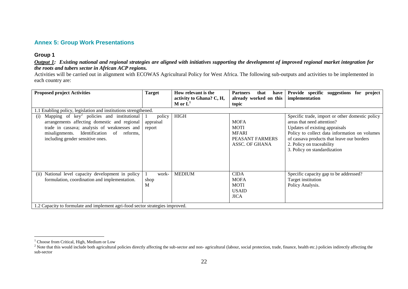#### **Annex 5: Group Work Presentations**

#### **Group 1**

*Output 1: Existing national and regional strategies are aligned with initiatives supporting the development of improved regional market integration for the roots and tubers sector in African ACP regions.* 

Activities will be carried out in alignment with ECOWAS Agricultural Policy for West Africa. The following sub-outputs and activities to be implemented in each country are:

| <b>Proposed project Activities</b>                                                                                                                                                                                                    | <b>Target</b>                 | How relevant is the<br>activity to Ghana? C, H,<br>M or $L^1$ | <b>Partners</b><br>that<br>have<br>already worked on this<br>topic              | Provide specific suggestions for project<br>implementation                                                                                                                                                                                                                  |
|---------------------------------------------------------------------------------------------------------------------------------------------------------------------------------------------------------------------------------------|-------------------------------|---------------------------------------------------------------|---------------------------------------------------------------------------------|-----------------------------------------------------------------------------------------------------------------------------------------------------------------------------------------------------------------------------------------------------------------------------|
| 1.1 Enabling policy, legislation and institutions strengthened.                                                                                                                                                                       |                               |                                                               |                                                                                 |                                                                                                                                                                                                                                                                             |
| Mapping of $key^2$ policies and institutional<br>(i)<br>arrangements affecting domestic and regional<br>trade in cassava; analysis of weaknesses and<br>misalignments. Identification of reforms,<br>including gender sensitive ones. | policy<br>appraisal<br>report | <b>HIGH</b>                                                   | <b>MOFA</b><br><b>MOTI</b><br><b>MFARI</b><br>PEASANT FARMERS<br>ASSC. OF GHANA | Specific trade, import or other domestic policy<br>areas that need attention?<br>Updates of existing appraisals<br>Policy to collect data information on volumes<br>of cassava products that leave our borders<br>2. Policy on traceability<br>3. Policy on standardization |
| National level capacity development in policy<br>(ii)<br>formulation, coordination and implementation.<br>1.2 Capacity to formulate and implement agri-food sector strategies improved.                                               | work-<br>shop<br>M            | <b>MEDIUM</b>                                                 | <b>CIDA</b><br><b>MOFA</b><br><b>MOTI</b><br><b>USAID</b><br><b>JICA</b>        | Specific capacity gap to be addressed?<br>Target institution<br>Policy Analysis.                                                                                                                                                                                            |

 $1$  Choose from Critical, High, Medium or Low

<sup>&</sup>lt;sup>2</sup> Note that this would include both agricultural policies directly affecting the sub-sector and non- agricultural (labour, social protection, trade, finance, health etc.) policies indirectly affecting the sub-sector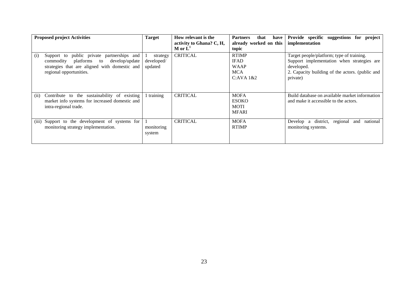| <b>Proposed project Activities</b>                                                                                                                                           | <b>Target</b>                     | How relevant is the<br>activity to Ghana? C, H,<br>M or $L^1$ | <b>Partners</b><br>that<br>have<br>already worked on this<br>topic    | Provide specific suggestions for<br>project<br>implementation                                                                                                        |
|------------------------------------------------------------------------------------------------------------------------------------------------------------------------------|-----------------------------------|---------------------------------------------------------------|-----------------------------------------------------------------------|----------------------------------------------------------------------------------------------------------------------------------------------------------------------|
| public private partnerships and<br>Support to<br>(i)<br>develop/update<br>commodity platforms to<br>strategies that are aligned with domestic and<br>regional opportunities. | strategy<br>developed/<br>updated | <b>CRITICAL</b>                                               | <b>RTIMP</b><br><b>IFAD</b><br><b>WAAP</b><br><b>MCA</b><br>C:AVA 1&2 | Target people/platform; type of training.<br>Support implementation when strategies are<br>developed.<br>2. Capacity building of the actors. (public and<br>private) |
| Contribute to the sustainability of existing<br>(i)<br>market info systems for increased domestic and<br>intra-regional trade.                                               | 1 training                        | <b>CRITICAL</b>                                               | <b>MOFA</b><br><b>ESOKO</b><br><b>MOTI</b><br><b>MFARI</b>            | Build database on available market information<br>and make it accessible to the actors.                                                                              |
| Support to the development of systems for<br>(iii)<br>monitoring strategy implementation.                                                                                    | monitoring<br>system              | <b>CRITICAL</b>                                               | <b>MOFA</b><br><b>RTIMP</b>                                           | Develop a district, regional<br>national<br>and<br>monitoring systems.                                                                                               |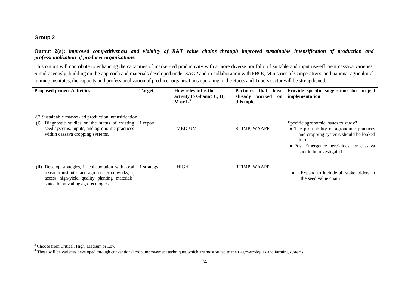#### **Group 2**

#### **Output 2(a):** *improved competitiveness and viability of R&T value chains through improved sustainable intensification of production and professionalization of producer organizations.*

This output will contribute to enhancing the capacities of market-led productivity with a more diverse portfolio of suitable and input use-efficient cassava varieties. Simultaneously, building on the approach and materials developed under 3ACP and in collaboration with FBOs, Ministries of Cooperatives, and national agricultural training institutes, the capacity and professionalization of producer organizations operating in the Roots and Tubers sector will be strengthened.

| <b>Proposed project Activities</b>                                                                                                                                                                              | <b>Target</b> | How relevant is the<br>activity to Ghana? C, H,<br>M or $\mathbf{L}^3$ | that<br><b>Partners</b><br>have<br>worked<br>already<br>on<br>this topic | Provide specific suggestions for project<br>implementation                                                                                                                                              |
|-----------------------------------------------------------------------------------------------------------------------------------------------------------------------------------------------------------------|---------------|------------------------------------------------------------------------|--------------------------------------------------------------------------|---------------------------------------------------------------------------------------------------------------------------------------------------------------------------------------------------------|
| 2.2 Sustainable market-led production intensification                                                                                                                                                           |               |                                                                        |                                                                          |                                                                                                                                                                                                         |
| Diagnostic studies on the status of existing<br>(1)<br>seed systems, inputs, and agronomic practices<br>within cassava cropping systems.                                                                        | report        | <b>MEDIUM</b>                                                          | RTIMP, WAAPP                                                             | Specific agronomic issues to study?<br>• The profitability of agronomic practices<br>and cropping systems should be looked<br>into<br>• Post Emergence herbicides for cassava<br>should be investigated |
| Develop strategies, in collaboration with local<br>(i)<br>research institutes and agro-dealer networks, to<br>access high-yield quality planting materials <sup>4</sup><br>suited to prevailing agro-ecologies. | strategy      | <b>HIGH</b>                                                            | RTIMP, WAAPP                                                             | Expand to include all stakeholders in<br>the seed value chain                                                                                                                                           |

<sup>&</sup>lt;sup>3</sup> Choose from Critical, High, Medium or Low

<sup>&</sup>lt;sup>4</sup> These will be varieties developed through conventional crop improvement techniques which are most suited to their agro-ecologies and farming systems.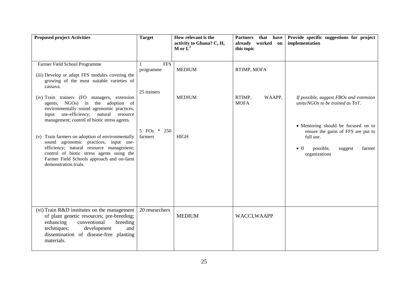| <b>Proposed project Activities</b>                                                                                                                                                                                                                                                                                                                                                                                                      | <b>Target</b>                          | How relevant is the<br>activity to Ghana? C, H,<br>M or $\mathbf{L}^3$ | that have<br><b>Partners</b><br>already worked on<br>this topic | Provide specific suggestions for project<br>implementation                                                                                                                                       |
|-----------------------------------------------------------------------------------------------------------------------------------------------------------------------------------------------------------------------------------------------------------------------------------------------------------------------------------------------------------------------------------------------------------------------------------------|----------------------------------------|------------------------------------------------------------------------|-----------------------------------------------------------------|--------------------------------------------------------------------------------------------------------------------------------------------------------------------------------------------------|
| Farmer Field School Programme<br>(iii) Develop or adapt FFS modules covering the<br>growing of the most suitable varieties of<br>cassava.<br>(iv) Train trainers (FO managers, extension                                                                                                                                                                                                                                                | <b>FFS</b><br>programme<br>25 trainers | <b>MEDIUM</b><br><b>MEDIUM</b>                                         | RTIMP, MOFA<br>RTIMP,<br>WAAPP,                                 | If possible, suggest FBOs and extension                                                                                                                                                          |
| agents, NGOs) in the adoption of<br>environmentally sound agronomic practices,<br>input use-efficiency; natural resource<br>management; control of biotic stress agents.<br>Train farmers on adoption of environmentally<br>(v)<br>sound agronomic practices, input use-<br>efficiency; natural resource management;<br>control of biotic stress agents using the<br>Farmer Field Schools approach and on-farm<br>demonstration trials. | 5 FOs * 250<br>farmers                 | <b>HIGH</b>                                                            | <b>MOFA</b>                                                     | units/NGOs to be trained as $ToT$ .<br>• Mentoring should be focused on to<br>ensure the gains of FFS are put to<br>full use.<br>$\bullet$ If<br>possible,<br>suggest<br>farmer<br>organizations |
| (vi) Train R&D institutes on the management<br>of plant genetic resources; pre-breeding;<br>enhancing<br>conventional<br>breeding<br>techniques;<br>development<br>and<br>dissemination of disease-free planting<br>materials.                                                                                                                                                                                                          | 20 researchers                         | <b>MEDIUM</b>                                                          | WACCI, WAAPP                                                    |                                                                                                                                                                                                  |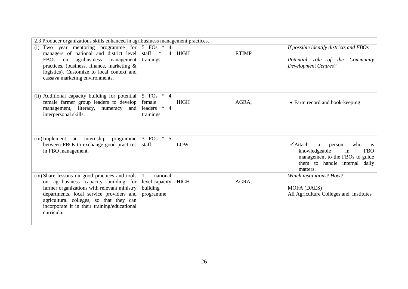| 2.3 Producer organizations skills enhanced in agribusiness management practices.                                                                                                                                                                                                            |                                                          |             |              |                                                                                                                                                                      |
|---------------------------------------------------------------------------------------------------------------------------------------------------------------------------------------------------------------------------------------------------------------------------------------------|----------------------------------------------------------|-------------|--------------|----------------------------------------------------------------------------------------------------------------------------------------------------------------------|
| Two year mentoring programme for $\vert 5$ FOs $*$ 4<br>(i)<br>managers of national and district level<br>FBOs on<br>agribusiness management<br>practices, (business, finance, marketing $\&$<br>logistics). Customize to local context and<br>cassava marketing environments.              | staff *<br>$\overline{4}$<br>trainings                   | <b>HIGH</b> | <b>RTIMP</b> | If possible identify districts and FBOs<br>Potential role of the Community<br><b>Development Centres?</b>                                                            |
| (ii) Additional capacity building for potential<br>female farmer group leaders to develop<br>management, literacy, numeracy and<br>interpersonal skills.                                                                                                                                    | 5 FOs $*$ 4<br>female<br>leaders * 4<br>trainings        | <b>HIGH</b> | AGRA,        | • Farm record and book-keeping                                                                                                                                       |
| (iii) Implement an internship<br>programme<br>between FBOs to exchange good practices<br>in FBO management.                                                                                                                                                                                 | 3 FOs $*$ 5<br>staff                                     | LOW         |              | $\checkmark$ Attach<br>person<br>who<br>a<br>is<br>knowledgeable<br>in<br><b>FBO</b><br>management to the FBOs to guide<br>them to handle internal daily<br>matters. |
| (iv) Share lessons on good practices and tools<br>on agribusiness capacity building for<br>farmer organizations with relevant ministry<br>departments, local service providers and<br>agricultural colleges, so that they can<br>incorporate it in their training/educational<br>curricula. | national<br>1<br>level capacity<br>building<br>programme | <b>HIGH</b> | AGRA,        | Which institutions? How?<br>MOFA (DAES)<br>All Agriculture Colleges and Institutes                                                                                   |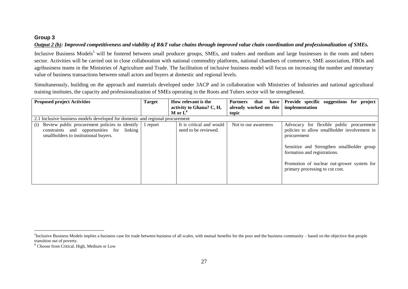#### **Group 3**

#### *Output 2 (b): Improved competitiveness and viability of R&T value chains through improved value chain coordination and professionalization of SMEs.*

Inclusive Business Models<sup>5</sup> will be fostered between small producer groups, SMEs, and traders and medium and large businesses in the roots and tubers sector. Activities will be carried out in close collaboration with national commodity platforms, national chambers of commerce, SME association, FBOs and agribusiness teams in the Ministries of Agriculture and Trade. The facilitation of inclusive business model will focus on increasing the number and monetary value of business transactions between small actors and buyers at domestic and regional levels.

Simultaneously, building on the approach and materials developed under 3ACP and in collaboration with Ministries of Industries and national agricultural training institutes, the capacity and professionalization of SMEs operating in the Roots and Tubers sector will be strengthened.

| <b>Proposed project Activities</b>                                                                                                                           | <b>Target</b> | How relevant is the<br>activity to Ghana? C, H,<br>$M$ or $L^6$ | <b>Partners</b><br>that<br>have<br>already worked on this<br>topic | Provide specific suggestions for project<br>implementation                                                                                                                                                                                                             |
|--------------------------------------------------------------------------------------------------------------------------------------------------------------|---------------|-----------------------------------------------------------------|--------------------------------------------------------------------|------------------------------------------------------------------------------------------------------------------------------------------------------------------------------------------------------------------------------------------------------------------------|
| 2.1 Inclusive business models developed for domestic and regional procurement                                                                                |               |                                                                 |                                                                    |                                                                                                                                                                                                                                                                        |
| Review public procurement policies to identify $\vert$ 1 report<br>(i)<br>constraints and opportunities for linking<br>smallholders to institutional buyers. |               | It is critical and would<br>need to be reviewed.                | Not to our awareness                                               | Advocacy for flexible public procurement<br>policies to allow smallholder involvement in<br>procurement<br>Sensitize and Strengthen smallholder group<br>formation and registrations.<br>Promotion of nuclear out-grower system for<br>primary processing to cut cost. |

 ${}^{5}$ Inclusive Business Models implies a business case for trade between business of all scales, with mutual benefits for the poor and the business community – based on the objective that people transition out of poverty.

<sup>6</sup> Choose from Critical, High, Medium or Low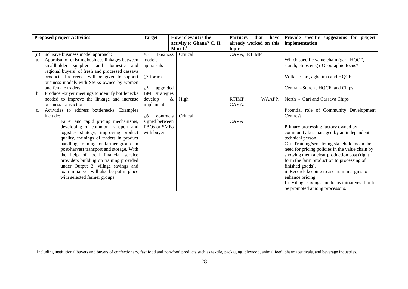| <b>Proposed project Activities</b>                          | <b>Target</b>        | How relevant is the      | <b>Partners</b><br>that<br>have | Provide specific suggestions for project          |
|-------------------------------------------------------------|----------------------|--------------------------|---------------------------------|---------------------------------------------------|
|                                                             |                      | activity to Ghana? C, H, | already worked on this          | implementation                                    |
|                                                             |                      | M or $L^6$               | topic                           |                                                   |
| Inclusive business model approach:<br>(ii)                  | $\geq$ 3<br>business | Critical                 | CAVA, RTIMP                     |                                                   |
| Appraisal of existing business linkages between<br>a.       | models               |                          |                                 | Which specific value chain (gari, HQCF,           |
| smallholder suppliers and domestic and                      | appraisals           |                          |                                 | starch, chips etc.)? Geographic focus?            |
| regional buyers <sup>7</sup> of fresh and processed cassava |                      |                          |                                 |                                                   |
| products. Preference will be given to support               | $\geq$ 3 forums      |                          |                                 | Volta - Gari, agbelima and HQCF                   |
| business models with SMEs owned by women                    |                      |                          |                                 |                                                   |
| and female traders.                                         | $\geq$ 3<br>upgraded |                          |                                 | Central -Starch, HQCF, and Chips                  |
| Producer-buyer meetings to identify bottlenecks<br>b.       | BM<br>strategies     |                          |                                 |                                                   |
| needed to improve the linkage and increase                  | develop              | High<br>$\&$             | RTIMP,<br>WAAPP,                | North - Gari and Cassava Chips                    |
| business transactions                                       | implement            |                          | CAVA.                           |                                                   |
| Activities to address bottlenecks. Examples<br>c.           |                      |                          |                                 | Potential role of Community Development           |
| include:                                                    | >6<br>contracts      | Critical                 |                                 | Centres?                                          |
| Fairer and rapid pricing mechanisms,                        | signed between       |                          | <b>CAVA</b>                     |                                                   |
| developing of common transport and                          | FBOs or SMEs         |                          |                                 | Primary processing factory owned by               |
| logistics strategy; improving product                       | with buyers          |                          |                                 | community but managed by an independent           |
| quality, trainings of traders in product                    |                      |                          |                                 | technical person.                                 |
| handling, training for farmer groups in                     |                      |                          |                                 | C. i. Training/sensitizing stakeholders on the    |
| post-harvest transport and storage. With                    |                      |                          |                                 | need for pricing policies in the value chain by   |
| the help of local financial service                         |                      |                          |                                 | showing them a clear production cost (right       |
| providers building on training provided                     |                      |                          |                                 | form the farm production to processing of         |
| under Output 3, village savings and                         |                      |                          |                                 | finished goods).                                  |
| loan initiatives will also be put in place                  |                      |                          |                                 | ii. Records keeping to ascertain margins to       |
| with selected farmer groups                                 |                      |                          |                                 | enhance pricing.                                  |
|                                                             |                      |                          |                                 | Iii. Village savings and loans initiatives should |
|                                                             |                      |                          |                                 | be promoted among processors.                     |

 7 Including institutional buyers and buyers of confectionary, fast food and non-food products such as textile, packaging, plywood, animal feed, pharmaceuticals, and beverage industries.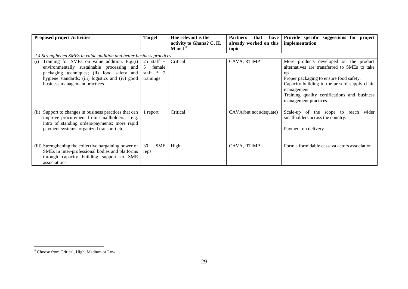| <b>Proposed project Activities</b>                                                                                                                                                                                                    | <b>Target</b>                                            | Hoe relevant is the<br>activity to Ghana? C, H, | <b>Partners</b><br>that<br>have<br>already worked on this | Provide specific suggestions for project<br>implementation                                                                                                                                                                                                                       |
|---------------------------------------------------------------------------------------------------------------------------------------------------------------------------------------------------------------------------------------|----------------------------------------------------------|-------------------------------------------------|-----------------------------------------------------------|----------------------------------------------------------------------------------------------------------------------------------------------------------------------------------------------------------------------------------------------------------------------------------|
|                                                                                                                                                                                                                                       |                                                          | $M$ or $L^8$                                    | topic                                                     |                                                                                                                                                                                                                                                                                  |
| 2.4 Strengthened SMEs in value addition and better business practices                                                                                                                                                                 |                                                          |                                                 |                                                           |                                                                                                                                                                                                                                                                                  |
| Training for SMEs on value addition. E.g.(i)<br>(i)<br>environmentally sustainable processing and<br>packaging techniques; (ii) food safety and<br>hygiene standards; (iii) logistics and (iv) good<br>business management practices. | $25$ staff +<br>female<br>-5<br>staff $*$ 2<br>trainings | Critical                                        | CAVA, RTIMP                                               | More products developed on the product<br>alternatives are transferred to SMEs to take<br>up.<br>Proper packaging to ensure food safety.<br>Capacity building in the area of supply chain<br>management<br>Training quality certifications and business<br>management practices. |
| Support to changes in business practices that can<br>(i)<br>improve procurement from smallholders $-$ e.g.<br>intro of standing orders/payments; more rapid<br>payment systems; organized transport etc.                              | report                                                   | Critical                                        | CAVA(but not adequate)                                    | wider<br>Scale-up of the scope to reach<br>smallholders across the country.<br>Payment on delivery.                                                                                                                                                                              |
| (iii) Strengthening the collective bargaining power of<br>SMEs in inter-professional bodies and platforms<br>through capacity building support to SME<br>associations.                                                                | <b>SME</b><br>30<br>reps                                 | High                                            | CAVA, RTIMP                                               | Form a formidable cassava actors association.                                                                                                                                                                                                                                    |

<sup>&</sup>lt;sup>8</sup> Choose from Critical, High, Medium or Low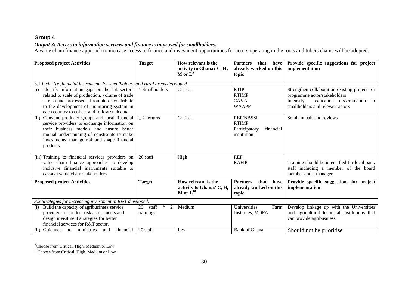## **Group 4**

#### *Output 3: Access to information services and finance is improved for smallholders.*

A value chain finance approach to increase access to finance and investment opportunities for actors operating in the roots and tubers chains will be adopted.

| <b>Proposed project Activities</b>                                                                                                                                                                                                                         | <b>Target</b>                       | How relevant is the<br>activity to Ghana? C, H,<br>M or $L^9$                   | <b>Partners</b><br>that<br>have<br>already worked on this<br>topic            | Provide specific suggestions for project<br>implementation                                                                                                   |  |
|------------------------------------------------------------------------------------------------------------------------------------------------------------------------------------------------------------------------------------------------------------|-------------------------------------|---------------------------------------------------------------------------------|-------------------------------------------------------------------------------|--------------------------------------------------------------------------------------------------------------------------------------------------------------|--|
|                                                                                                                                                                                                                                                            |                                     |                                                                                 |                                                                               |                                                                                                                                                              |  |
| 3.1 Inclusive financial instruments for smallholders and rural areas developed                                                                                                                                                                             |                                     |                                                                                 |                                                                               |                                                                                                                                                              |  |
| Identify information gaps on the sub-sectors<br>(i)<br>related to scale of production, volume of trade<br>- fresh and processed. Promote or contribute<br>to the development of monitoring system in<br>each country to collect and follow such data.      | 1 Smallholders                      | Critical                                                                        | <b>RTIP</b><br><b>RTIMP</b><br><b>CAVA</b><br><b>WAAPP</b>                    | Strengthen collaboration existing projects or<br>programme actor/stakeholders<br>Intensify<br>education dissemination to<br>smallholders and relevant actors |  |
| Convene producer groups and local financial<br>(ii)<br>service providers to exchange information on<br>their business models and ensure better<br>mutual understanding of constraints to make<br>investments, manage risk and shape financial<br>products. | $\geq$ 2 forums                     | Critical                                                                        | <b>REP/NBSSI</b><br><b>RTIMP</b><br>Participatory<br>financial<br>institution | Semi annuals and reviews                                                                                                                                     |  |
| (iii) Training to financial services providers on<br>value chain finance approaches to develop<br>inclusive financial instruments suitable to<br>cassava value chain stakeholders                                                                          | 20 staff                            | High                                                                            | <b>REP</b><br><b>RAFIP</b>                                                    | Training should be intensified for local bank<br>staff including a member of the board<br>member and a manager                                               |  |
| <b>Proposed project Activities</b>                                                                                                                                                                                                                         | <b>Target</b>                       | How relevant is the<br>activity to Ghana? C, H,<br>M or $\dot{\mathbf{L}}^{10}$ | <b>Partners</b><br>that<br>have<br>already worked on this<br>topic            | Provide specific suggestions for project<br>implementation                                                                                                   |  |
| 3.2 Strategies for increasing investment in R&T developed.                                                                                                                                                                                                 |                                     |                                                                                 |                                                                               |                                                                                                                                                              |  |
| Build the capacity of agribusiness service<br>(i)<br>providers to conduct risk assessments and<br>design investment strategies for better<br>financial services for R&T sector.                                                                            | $20$ staff<br>$*$<br>2<br>trainings | Medium                                                                          | Universities,<br>Farm<br>Institutes, MOFA                                     | Develop linkage up with the Universities<br>and agricultural technical institutions that<br>can provide agribusiness                                         |  |
| financial<br>Guidance<br>to ministries<br>and<br>(ii)                                                                                                                                                                                                      | 20 staff                            | low                                                                             | <b>Bank of Ghana</b>                                                          | Should not be prioritise.                                                                                                                                    |  |

 9 Choose from Critical, High, Medium or Low

<sup>&</sup>lt;sup>10</sup>Choose from Critical, High, Medium or Low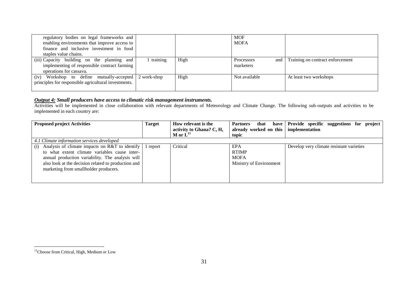| regulatory bodies on legal frameworks and<br>enabling environments that improve access to |          |      | <b>MOF</b><br><b>MOFA</b>  |                                  |
|-------------------------------------------------------------------------------------------|----------|------|----------------------------|----------------------------------|
| finance and inclusive investment in food                                                  |          |      |                            |                                  |
| staples value chains.                                                                     |          |      |                            |                                  |
| (iii) Capacity building on the planning and                                               | training | High | <b>Processors</b><br>and 1 | Training on contract enforcement |
| implementing of responsible contract farming                                              |          |      | marketers                  |                                  |
| operations for cassava.                                                                   |          |      |                            |                                  |
| Workshop to define mutually-accepted 2 work-shop<br>(iv)                                  |          | High | Not available              | At least two workshops           |
| principles for responsible agricultural investments.                                      |          |      |                            |                                  |
|                                                                                           |          |      |                            |                                  |

#### *Output 4: Small producers have access to climatic risk management instruments.*

Activities will be implemented in close collaboration with relevant departments of Meteorology and Climate Change. The following sub-outputs and activities to be implemented in each country are:

| <b>Proposed project Activities</b>                                                                                                                                                                                                                                    | <b>Target</b> | How relevant is the<br>activity to Ghana? C, H, | <b>Partners</b><br>that<br>have l<br>already worked on this   implementation | Provide specific suggestions for project |
|-----------------------------------------------------------------------------------------------------------------------------------------------------------------------------------------------------------------------------------------------------------------------|---------------|-------------------------------------------------|------------------------------------------------------------------------------|------------------------------------------|
|                                                                                                                                                                                                                                                                       |               | $M$ or $LH$                                     | topic                                                                        |                                          |
| 4.1 Climate information services developed                                                                                                                                                                                                                            |               |                                                 |                                                                              |                                          |
| Analysis of climate impacts on $R&T$ to identify 1 report<br>(i)<br>to what extent climate variables cause inter-<br>annual production variability. The analysis will<br>also look at the decision related to production and<br>marketing from smallholder producers. |               | Critical                                        | EPA<br><b>RTIMP</b><br><b>MOFA</b><br>Ministry of Environment                | Develop very climate resistant varieties |

<sup>&</sup>lt;sup>11</sup>Choose from Critical, High, Medium or Low